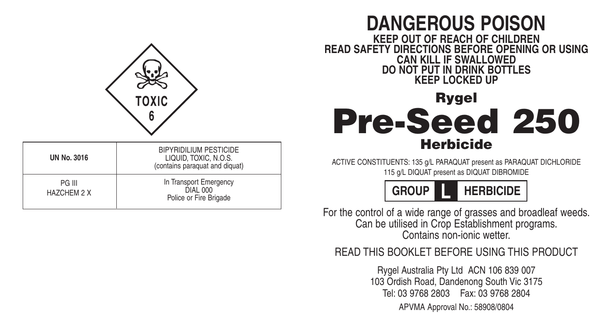

| <b>UN No. 3016</b>           | <b>BIPYRIDILIUM PESTICIDE</b><br>LIQUID, TOXIC, N.O.S.<br>(contains paraquat and diquat) |  |
|------------------------------|------------------------------------------------------------------------------------------|--|
| PG III<br><b>HAZCHEM 2 X</b> | In Transport Emergency<br><b>DIAL 000</b><br>Police or Fire Brigade                      |  |

# **DANGEROUS POISON KEEP OUT OF REACH OF CHILDREN READ SAFETY DIRECTIONS BEFORE OPENING OR USING CAN KILL IF SWALLOWED DO NOT PUT IN DRINK BOTTLES KEEP LOCKED UP**

# **Rygel Pre-Seed 250 Herbicide**

ACTIVE CONSTITUENTS: 135 g/L PARAQUAT present as PARAQUAT DICHLORIDE 115 g/L DIQUAT present as DIQUAT DIBROMIDE



For the control of a wide range of grasses and broadleaf weeds. Can be utilised in Crop Establishment programs. Contains non-ionic wetter .

# READ THIS BOOKLET BEFORE USING THIS PRODUCT

Rygel Australia Pty Ltd ACN 106 839 007 103 Ordish Road, Dandenong South Vic 3175 Tel: 03 9768 2803 Fax: 03 9768 2804 **HERBICID**<br>ge of grasses and<br>op Establishment<br>non-ionic wetter.<br>EFORE USING T<br>by Ltd ACN 106 83<br>Dandenong South V<br>03 Fax: 03 9768 2<br>roval No.: 58908/0804

APVMA Approval No.: 58908/0804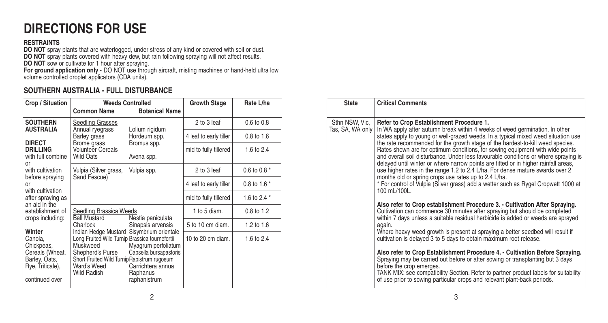# **DIRECTIONS FOR USE**

#### **RESTRAINTS**

**DO NOT** spray plants that are waterlogged, under stress of any kind or covered with soil or dust.<br>**DO NOT** spray plants covered with heavy dew, but rain following spraying will not affect results.<br>**DO NOT** sow or cultivat

# **SOUTHERN AUSTRALIA - FULL DISTURBANCE**

| Crop / Situation                                                                                | <b>Weeds Controlled</b><br>Common Name                                                                                                                     | <b>Botanical Name</b>                                                                          | <b>Growth Stage</b>    | Rate L/ha    |
|-------------------------------------------------------------------------------------------------|------------------------------------------------------------------------------------------------------------------------------------------------------------|------------------------------------------------------------------------------------------------|------------------------|--------------|
| <b>SOUTHERN</b><br><b>AUSTRALIA</b>                                                             | Seedling Grasses                                                                                                                                           |                                                                                                | 2 to 3 leaf            | 0.6 to 0.8   |
| <b>DIRECT</b>                                                                                   | Annual ryegrass<br>Barley grass                                                                                                                            | Lolium rigidum<br>Hordeum spp.                                                                 | 4 leaf to early tiller | $0.8$ to 1.6 |
| <b>DRILLING</b><br>with full combine<br>or                                                      | Brome grass<br><b>Volunteer Cereals</b><br>Wild Oats                                                                                                       | Bromus spp.<br>Avena spp.                                                                      | mid to fully tillered  | 1.6 to $2.4$ |
| with cultivation                                                                                | Vulpia (Silver grass,<br>Sand Fescue)                                                                                                                      | Vulpia spp.                                                                                    | 2 to 3 leaf            | 0.6 to 0.8 * |
| before spraying<br>or<br>with cultivation                                                       |                                                                                                                                                            |                                                                                                | 4 leaf to early tiller | 0.8 to 1.6 * |
| after spraying as<br>an aid in the                                                              |                                                                                                                                                            |                                                                                                | mid to fully tillered  | 1.6 to 2.4 * |
| establishment of                                                                                | Seedling Brassica Weeds<br><b>Ball Mustard</b><br>Nestia paniculata                                                                                        |                                                                                                | 1 to 5 diam.           | 0.8 to 1.2   |
| crops including:<br>Winter                                                                      | Charlock<br>Indian Hedge Mustard Sisymbrium orientale                                                                                                      | Sinapsis arvensis                                                                              | 5 to 10 cm diam.       | 1.2 to $1.6$ |
| Canola.<br>Chickpeas,<br>Cereals (Wheat,<br>Barley, Oats,<br>Rye, Triticale),<br>continued over | Long Fruited Wild Turnip Brassica tournefortii<br>Muskweed<br>Shepherd's Purse<br>Short Fruited Wild TurnipRapistrum rugosum<br>Ward's Weed<br>Wild Radish | Myagrum perfoliatum<br>Capsella bursapastoris<br>Carrichtera annua<br>Raphanus<br>raphanistrum | 10 to 20 cm diam.      | 1.6 to $2.4$ |

| <b>State</b>                       | <b>Critical Comments</b>                                                                                                                                                                                                                                                                                                                                                                                                                                                                                                                                                                                                                                                                                                                                                                                     |
|------------------------------------|--------------------------------------------------------------------------------------------------------------------------------------------------------------------------------------------------------------------------------------------------------------------------------------------------------------------------------------------------------------------------------------------------------------------------------------------------------------------------------------------------------------------------------------------------------------------------------------------------------------------------------------------------------------------------------------------------------------------------------------------------------------------------------------------------------------|
| Sthn NSW, Vic,<br>Tas, SA, WA only | Refer to Crop Establishment Procedure 1.<br>In WA apply after autumn break within 4 weeks of weed germination. In other<br>states apply to young or well-grazed weeds. In a typical mixed weed situation use<br>the rate recommended for the growth stage of the hardest-to-kill weed species.<br>Rates shown are for optimum conditions, for sowing equipment with wide points<br>and overall soil disturbance. Under less favourable conditions or where spraying is<br>delayed until winter or where narrow points are fitted or in higher rainfall areas,<br>use higher rates in the range 1.2 to 2.4 L/ha. For dense mature swards over 2<br>months old or spring crops use rates up to 2.4 L/ha.<br>* For control of Vulpia (Silver grass) add a wetter such as Rygel Cropwett 1000 at<br>100 mL/100L. |
|                                    | Also refer to Crop establishment Procedure 3. - Cultivation After Spraying.<br>Cultivation can commence 30 minutes after spraying but should be completed<br>within 7 days unless a suitable residual herbicide is added or weeds are sprayed<br>again.<br>Where heavy weed growth is present at spraying a better seedbed will result if<br>cultivation is delayed 3 to 5 days to obtain maximum root release.                                                                                                                                                                                                                                                                                                                                                                                              |
|                                    | Also refer to Crop Establishment Procedure 4. - Cultivation Before Spraying.<br>Spraying may be carried out before or after sowing or transplanting but 3 days<br>before the crop emerges.<br>TANK MIX: see compatibility Section. Refer to partner product labels for suitability<br>of use prior to sowing particular crops and relevant plant-back periods.                                                                                                                                                                                                                                                                                                                                                                                                                                               |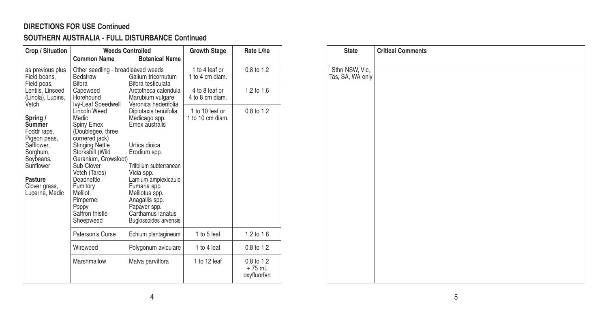# **SOUTHERN AUSTRALIA - FULL DISTURBANCE Continued**

| Crop / Situation                                                                                                                                    | <b>Weeds Controlled</b><br><b>Botanical Name</b><br><b>Common Name</b>                                                                                                                                                                                                            |                                                                                                                                                                                                                                                                            | <b>Growth Stage</b>                 | Rate L/ha                             |
|-----------------------------------------------------------------------------------------------------------------------------------------------------|-----------------------------------------------------------------------------------------------------------------------------------------------------------------------------------------------------------------------------------------------------------------------------------|----------------------------------------------------------------------------------------------------------------------------------------------------------------------------------------------------------------------------------------------------------------------------|-------------------------------------|---------------------------------------|
| as previous plus<br>Field beans.                                                                                                                    | Other seedling - broadleaved weeds<br>Bedstraw                                                                                                                                                                                                                                    | Galium tricornutum                                                                                                                                                                                                                                                         | 1 to 4 leaf or<br>1 to 4 cm diam.   | 0.8 to 1.2                            |
| Field peas,<br>Lentils, Linseed<br>(Linola), Lupins,<br>Vetch                                                                                       | <b>Bifora</b><br>Capeweed<br>Horehound<br>Ivy-Leaf Speedwell                                                                                                                                                                                                                      | Bifora testiculata<br>Arctotheca calendula<br>Marubium vulgare<br>Veronica hederifolia                                                                                                                                                                                     | 4 to 8 leaf or<br>4 to 8 cm diam.   | $1.2$ to $1.6$                        |
| Spring /<br>Summer<br>Foddr rape.<br>Pigeon peas,<br>Safflower.<br>Sorghum,<br>Soybeans,<br>Sunflower<br>Pasture<br>Clover grass,<br>Lucerne. Medic | Lincoln Weed<br><b>Medic</b><br>Spiny Emex<br>(Doublegee, three<br>cornered jack)<br><b>Stinging Nettle</b><br>Storksbill (Wild<br>Geranium. Crowsfoot)<br>Sub Clover<br>Vetch (Tares)<br>Deadnettle<br>Fumitory<br>Melilot<br>Pimpernel<br>Poppy<br>Saffron thistle<br>Sheepweed | Dipiotaxis tenuifolia<br>Medicago spp.<br>Emex australis<br>Urtica dioica<br>Erodium spp.<br>Trifolium subterranean<br>Vicia spp.<br>Lamium amplexicaule<br>Fumaria spp.<br>Melilotus spp.<br>Anagallis spp.<br>Papaver spp.<br>Carthamus lanatus<br>Buglossoides arvensis | 1 to 10 leaf or<br>1 to 10 cm diam. | $0.8$ to $1.2$                        |
|                                                                                                                                                     | Paterson's Curse                                                                                                                                                                                                                                                                  | Echium plantagineum                                                                                                                                                                                                                                                        | 1 to 5 leaf                         | 1.2 to $1.6$                          |
|                                                                                                                                                     | Wireweed                                                                                                                                                                                                                                                                          | Polygonum aviculare                                                                                                                                                                                                                                                        | 1 to 4 leaf                         | 0.8 to 1.2                            |
|                                                                                                                                                     | Marshmallow                                                                                                                                                                                                                                                                       | Malva parviflora                                                                                                                                                                                                                                                           | 1 to 12 leaf                        | 0.8 to 1.2<br>$+75$ mL<br>oxyfluorfen |

| State                              | <b>Critical Comments</b> |
|------------------------------------|--------------------------|
|                                    |                          |
| Sthn NSW, Vic,<br>Tas, SA, WA only |                          |
|                                    |                          |
|                                    |                          |
|                                    |                          |
|                                    |                          |
|                                    |                          |
|                                    |                          |
|                                    |                          |
|                                    |                          |
|                                    |                          |
|                                    |                          |
|                                    |                          |
|                                    |                          |
|                                    |                          |
|                                    |                          |
|                                    |                          |
|                                    |                          |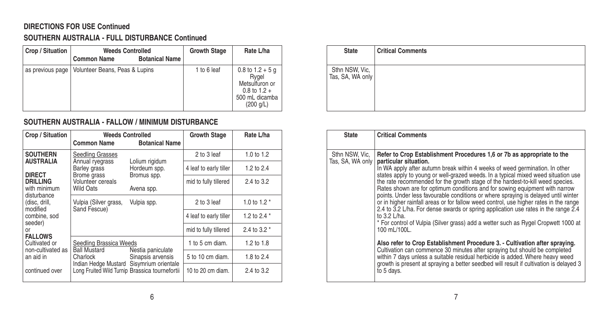# **SOUTHERN AUSTRALIA - FULL DISTURBANCE Continued**

| Crop / Situation | <b>Weeds Controlled</b><br><b>Botanical Name</b><br><b>Common Name</b> |  | <b>Growth Stage</b> | Rate L/ha                                                                                                  |
|------------------|------------------------------------------------------------------------|--|---------------------|------------------------------------------------------------------------------------------------------------|
| as previous page | Volunteer Beans, Peas & Lupins                                         |  | 1 to 6 leaf         | $0.8$ to $1.2 + 5$ g<br>Rygel<br>Metsulfuron or<br>0.8 to $1.2 +$<br>500 mL dicamba<br>$(200 \text{ q/L})$ |

# **SOUTHERN AUSTRALIA - FALLOW / MINIMUM DISTURBANCE**

| Crop / Situation                         | <b>Weeds Controlled</b>                                             |                           | <b>Growth Stage</b>    | Rate L/ha      |
|------------------------------------------|---------------------------------------------------------------------|---------------------------|------------------------|----------------|
|                                          | <b>Common Name</b>                                                  | <b>Botanical Name</b>     |                        |                |
| <b>SOUTHERN</b><br><b>AUSTRALIA</b>      | Seedling Grasses<br>Annual ryegrass                                 | Lolium rigidum            | 2 to 3 leaf            | 1.0 to 1.2     |
| <b>DIRECT</b>                            | Barley grass<br>Brome grass                                         | Hordeum spp.              | 4 leaf to early tiller | 1.2 to $2.4$   |
| <b>DRILLING</b><br>with minimum          | Volunteer cereals<br>Wild Oats                                      | Bromus spp.<br>Avena spp. | mid to fully tillered  | 2.4 to 3.2     |
| disturbance<br>(disc. drill.<br>modified | Vulpia (Silver grass,<br>Sand Fescue)                               | Vulpia spp.               | 2 to 3 leaf            | 1.0 to 1.2 *   |
| combine, sod                             |                                                                     |                           | 4 leaf to early tiller | 1.2 to 2.4 $*$ |
| seeder)<br>or<br><b>FALLOWS</b>          |                                                                     |                           | mid to fully tillered  | 2.4 to 3.2 $*$ |
| Cultivated or<br>non-cultivated as       | Seedling Brassica Weeds<br><b>Ball Mustard</b><br>Nestia paniculate |                           | 1 to 5 cm diam.        | $1.2$ to $1.8$ |
| an aid in                                | Charlock<br>Indian Hedge Mustard Sisymrium orientale                | Sinapsis arvensis         | 5 to 10 cm diam.       | 1.8 to 2.4     |
| continued over                           | Long Fruited Wild Turnip Brassica tournefortii                      |                           | 10 to 20 cm diam.      | 2.4 to 3.2     |

| <b>State</b>                       | <b>Critical Comments</b> |
|------------------------------------|--------------------------|
| Sthn NSW, Vic,<br>Tas, SA, WA only |                          |
|                                    |                          |

| <b>State</b>                       | <b>Critical Comments</b>                                                                                                                                                                                                                                                                                                                                                                                                                                                                                                                                                                                                                                                                                                                                                                                                                                                                                                                                                                                                                                                                                                                                                                |
|------------------------------------|-----------------------------------------------------------------------------------------------------------------------------------------------------------------------------------------------------------------------------------------------------------------------------------------------------------------------------------------------------------------------------------------------------------------------------------------------------------------------------------------------------------------------------------------------------------------------------------------------------------------------------------------------------------------------------------------------------------------------------------------------------------------------------------------------------------------------------------------------------------------------------------------------------------------------------------------------------------------------------------------------------------------------------------------------------------------------------------------------------------------------------------------------------------------------------------------|
| Sthn NSW, Vic,<br>Tas, SA, WA only | Refer to Crop Establishment Procedures 1,6 or 7b as appropriate to the<br>particular situation.<br>In WA apply after autumn break within 4 weeks of weed germination. In other<br>states apply to young or well-grazed weeds. In a typical mixed weed situation use<br>the rate recommended for the growth stage of the hardest-to-kill weed species.<br>Rates shown are for optimum conditions and for sowing equipment with narrow<br>points. Under less favourable conditions or where spraying is delayed until winter<br>or in higher rainfall areas or for fallow weed control, use higher rates in the range<br>2.4 to 3.2 L/ha. For dense swards or spring application use rates in the range 2.4<br>to $3.2$ L/ha.<br>* For control of Vulpia (Silver grass) add a wetter such as Rygel Cropwett 1000 at<br>100 mL/100L.<br>Also refer to Crop Establishment Procedure 3. - Cultivation after spraying.<br>Cultivation can commence 30 minutes after spraying but should be completed<br>within 7 days unless a suitable residual herbicide is added. Where heavy weed<br>growth is present at spraying a better seedbed will result if cultivation is delayed 3<br>to 5 days. |
|                                    |                                                                                                                                                                                                                                                                                                                                                                                                                                                                                                                                                                                                                                                                                                                                                                                                                                                                                                                                                                                                                                                                                                                                                                                         |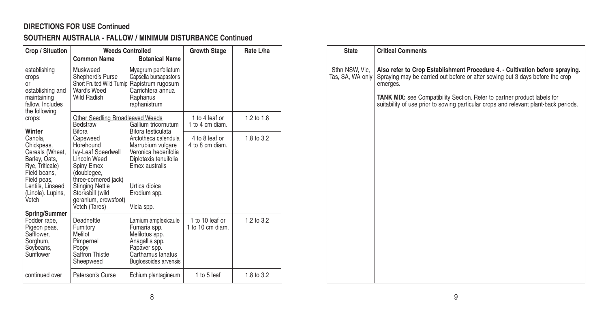# **SOUTHERN AUSTRALIA - FALLOW / MINIMUM DISTURBANCE Continued**

| Crop / Situation                                                                                                                                              | <b>Weeds Controlled</b><br><b>Common Name</b>                                                                                                                                                           | <b>Botanical Name</b>                                                                                                                                       | <b>Growth Stage</b>                 | Rate L/ha    |
|---------------------------------------------------------------------------------------------------------------------------------------------------------------|---------------------------------------------------------------------------------------------------------------------------------------------------------------------------------------------------------|-------------------------------------------------------------------------------------------------------------------------------------------------------------|-------------------------------------|--------------|
| establishing<br>crops<br>or<br>establishing and<br>maintaining<br>fallow. Includes<br>the following                                                           | Muskweed<br>Shepherd's Purse<br>Short Fruited Wild Turnip Rapistrum rugosum<br>Ward's Weed<br>Wild Radish                                                                                               | Myagrum perfoliatum<br>Capsella bursapastoris<br>Carrichtera annua<br>Raphanus<br>raphanistrum                                                              |                                     |              |
| crops:<br>Winter                                                                                                                                              | Other Seedling Broadleaved Weeds<br>Bedstraw<br><b>Bifora</b>                                                                                                                                           | Gallium tricornutum<br>Bifora testiculata                                                                                                                   | 1 to 4 leaf or<br>1 to 4 cm diam.   | 1.2 to $1.8$ |
| Canola.<br>Chickpeas,<br>Cereals (Wheat,<br>Barley, Oats,<br>Rye, Triticale)<br>Field beans.<br>Field peas.<br>Lentils, Linseed<br>(Linola). Lupins,<br>Vetch | Capeweed<br>Horehound<br>Ivy-Leaf Speedwell<br>Lincoln Weed<br>Spiny Emex<br>(doublegee,<br>three-cornered jack)<br><b>Stinging Nettle</b><br>Storksbill (wild<br>geranium, crowsfoot)<br>Vetch (Tares) | Arctotheca calendula<br>Marrubium vulgare<br>Veronica hederifolia<br>Diplotaxis tenuifolia<br>Emex australis<br>Urtica dioica<br>Erodium spp.<br>Vicia spp. | 4 to 8 leaf or<br>4 to 8 cm diam.   | 1.8 to 3.2   |
| <b>Spring/Summer</b><br>Fodder rape,<br>Pigeon peas,<br>Safflower.<br>Sorghum,<br>Soybeans,<br>Sunflower                                                      | Deadnettle<br>Fumitory<br>Melilot<br>Pimpernel<br>Poppy<br>Saffron Thistle<br>Sheepweed                                                                                                                 | Lamium amplexicaule<br>Fumaria spp.<br>Melilotus spp.<br>Anagallis spp.<br>Papaver spp.<br>Carthamus lanatus<br><b>Buglossoides arvensis</b>                | 1 to 10 leaf or<br>1 to 10 cm diam. | 1.2 to $3.2$ |
| continued over                                                                                                                                                | Paterson's Curse                                                                                                                                                                                        | Echium plantagineum                                                                                                                                         | 1 to 5 leaf                         | 1.8 to 3.2   |

| <b>State</b>                       | <b>Critical Comments</b>                                                                                                                                                  |  |  |  |  |
|------------------------------------|---------------------------------------------------------------------------------------------------------------------------------------------------------------------------|--|--|--|--|
| Sthn NSW, Vic,<br>Tas, SA, WA only | Also refer to Crop Establishment Procedure 4. - Cultivation before spraying.<br>Spraying may be carried out before or after sowing but 3 days before the crop<br>emerges. |  |  |  |  |
|                                    | TANK MIX: see Compatibility Section. Refer to partner product labels for<br>suitability of use prior to sowing particular crops and relevant plant-back periods.          |  |  |  |  |
|                                    |                                                                                                                                                                           |  |  |  |  |
|                                    |                                                                                                                                                                           |  |  |  |  |
|                                    |                                                                                                                                                                           |  |  |  |  |
|                                    |                                                                                                                                                                           |  |  |  |  |
|                                    |                                                                                                                                                                           |  |  |  |  |
|                                    |                                                                                                                                                                           |  |  |  |  |
|                                    |                                                                                                                                                                           |  |  |  |  |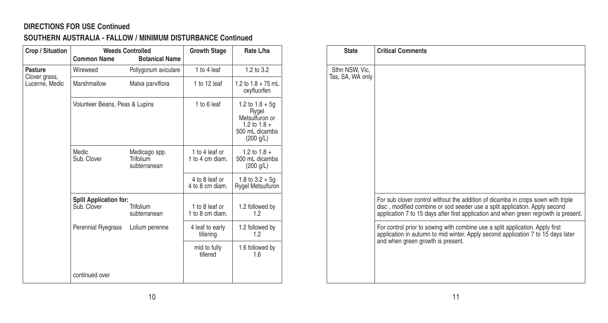# **SOUTHERN AUSTRALIA - FALLOW / MINIMUM DISTURBANCE Continued**

| Crop / Situation                | <b>Weeds Controlled</b><br><b>Botanical Name</b><br><b>Common Name</b> |                                            | <b>Growth Stage</b>               | Rate L/ha                                                                                     |
|---------------------------------|------------------------------------------------------------------------|--------------------------------------------|-----------------------------------|-----------------------------------------------------------------------------------------------|
|                                 |                                                                        |                                            |                                   |                                                                                               |
| Pasture                         | Wireweed                                                               | Pollygonum aviculare                       | 1 to 4 leaf                       | 1.2 to 3.2                                                                                    |
| Clover grass,<br>Lucerne, Medic | Marshmallow                                                            | Malva parviflora                           | 1 to 12 leaf                      | 1.2 to $1.8 + 75$ mL<br>oxyfluorfen                                                           |
|                                 | Volunteer Beans, Peas & Lupins                                         |                                            | 1 to 6 leaf                       | 1.2 to $1.8 + 5q$<br>Rygel<br>Metsulfuron or<br>1.2 to $1.8 +$<br>500 mL dicamba<br>(200 g/L) |
|                                 | <b>Medic</b><br>Sub. Clover                                            | Medicago spp.<br>Trifolium<br>subterranean | 1 to 4 leaf or<br>1 to 4 cm diam. | 1.2 to $1.8 +$<br>500 mL dicamba<br>$(200 \text{ q/L})$                                       |
|                                 |                                                                        |                                            | 4 to 8 leaf or<br>4 to 8 cm diam. | 1.8 to $3.2 + 5q$<br><b>Rygel Metsulfuron</b>                                                 |
|                                 | <b>Split Application for:</b><br>Sub. Clover                           | Trifolium                                  | 1 to 8 leaf or                    | 1.2 followed by                                                                               |
|                                 |                                                                        | subterranean                               | 1 to 8 cm diam.                   | 1.2                                                                                           |
|                                 | Perennial Ryegrass                                                     | Lolium perenne                             | 4 leaf to early<br>tillering      | 1.2 followed by<br>1.2                                                                        |
|                                 |                                                                        |                                            | mid to fully<br>tillered          | 1.6 followed by<br>1.6                                                                        |
|                                 | continued over                                                         |                                            |                                   |                                                                                               |

| <b>State</b>                       | <b>Critical Comments</b>                                                                                                                                                                                                                                                                                                                                                                                                                                         |
|------------------------------------|------------------------------------------------------------------------------------------------------------------------------------------------------------------------------------------------------------------------------------------------------------------------------------------------------------------------------------------------------------------------------------------------------------------------------------------------------------------|
| Sthn NSW, Vic,<br>Tas, SA, WA only |                                                                                                                                                                                                                                                                                                                                                                                                                                                                  |
|                                    | For sub clover control without the addition of dicamba in crops sown with triple<br>disc, modified combine or sod seeder use a split application. Apply second<br>application 7 to 15 days after first application and when green regrowth is present.<br>For control prior to sowing with combine use a split application. Apply first<br>application in autumn to mid winter. Apply second application 7 to 15 days later<br>and when green growth is present. |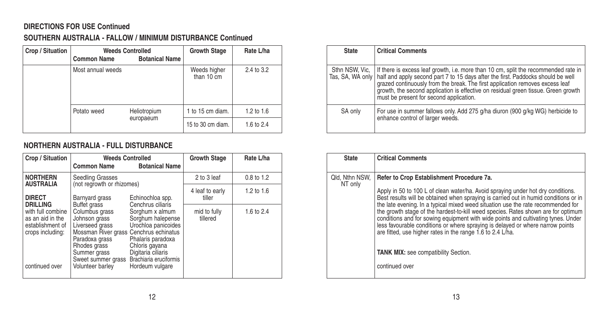**SOUTHERN AUSTRALIA - FALLOW / MINIMUM DISTURBANCE Continued**

| Crop / Situation | <b>Common Name</b> | <b>Weeds Controlled</b><br><b>Botanical Name</b> | <b>Growth Stage</b>        | Rate L/ha  |
|------------------|--------------------|--------------------------------------------------|----------------------------|------------|
|                  | Most annual weeds  |                                                  | Weeds higher<br>than 10 cm | 2.4 to 3.2 |
|                  | Potato weed        | Heliotropium                                     | 1 to 15 cm diam.           | 1.2 to 1.6 |
|                  |                    | europaeum                                        | 15 to 30 cm diam.          | 1.6 to 2.4 |

### **NORTHERN AUSTRALIA - FULL DISTURBANCE**

| Crop / Situation                                                                                                   | <b>Weeds Controlled</b>                                                                                                                                                                                  |                                                                                                                                                                                            | <b>Growth Stage</b>       | Rate L/ha      |
|--------------------------------------------------------------------------------------------------------------------|----------------------------------------------------------------------------------------------------------------------------------------------------------------------------------------------------------|--------------------------------------------------------------------------------------------------------------------------------------------------------------------------------------------|---------------------------|----------------|
|                                                                                                                    | <b>Common Name</b>                                                                                                                                                                                       | <b>Botanical Name</b>                                                                                                                                                                      |                           |                |
| <b>NORTHERN</b><br><b>AUSTRALIA</b>                                                                                | Seedling Grasses<br>(not regrowth or rhizomes)                                                                                                                                                           |                                                                                                                                                                                            | 2 to 3 leaf               | $0.8$ to 1.2   |
| <b>DIRECT</b>                                                                                                      | Barnyard grass                                                                                                                                                                                           | Echinochloa spp.                                                                                                                                                                           | 4 leaf to early<br>tiller | $1.2$ to $1.6$ |
| <b>DRILLING</b><br>with full combine<br>as an aid in the<br>establishment of<br>crops including:<br>continued over | Buffet grass<br>Columbus grass<br>Johnson grass<br>Liverseed grass<br>Mossman River grass Cenchrus echinatus<br>Paradoxa grass<br>Rhodes grass<br>Summer grass<br>Sweet summer grass<br>Volunteer barley | Cenchrus ciliaris<br>Sorghum x almum<br>Sorghum halepense<br>Urochloa panicoides<br>Phalaris paradoxa<br>Chloris gayana<br>Digitaria ciliaris<br>Brachiaria eruciformis<br>Hordeum vulgare | mid to fully<br>tillered  | 1.6 to 2.4     |

| <b>State</b>   | <b>Critical Comments</b>                                                                                                                                                                                                                                                                                                                                                                                     |
|----------------|--------------------------------------------------------------------------------------------------------------------------------------------------------------------------------------------------------------------------------------------------------------------------------------------------------------------------------------------------------------------------------------------------------------|
| Sthn NSW, Vic, | If there is excess leaf growth, i.e. more than 10 cm, split the recommended rate in<br>Tas, SA, WA only   half and apply second part 7 to 15 days after the first. Paddocks should be well<br>grazed continuously from the break. The first application removes excess leaf<br>growth, the second application is effective on residual green tissue. Green growth<br>must be present for second application. |
| SA only        | For use in summer fallows only. Add 275 g/ha diuron (900 g/kg WG) herbicide to<br>enhance control of larger weeds.                                                                                                                                                                                                                                                                                           |

| <b>State</b>              | <b>Critical Comments</b>                                                                                                                                                                                                                                                                                                                                                                                                                                                                                                                                                                                                            |
|---------------------------|-------------------------------------------------------------------------------------------------------------------------------------------------------------------------------------------------------------------------------------------------------------------------------------------------------------------------------------------------------------------------------------------------------------------------------------------------------------------------------------------------------------------------------------------------------------------------------------------------------------------------------------|
| Qld. Nthn NSW.<br>NT only | Refer to Crop Establishment Procedure 7a.<br>Apply in 50 to 100 L of clean water/ha. Avoid spraying under hot dry conditions.<br>Best results will be obtained when spraying is carried out in humid conditions or in<br>the late evening. In a typical mixed weed situation use the rate recommended for<br>the growth stage of the hardest-to-kill weed species. Rates shown are for optimum<br>conditions and for sowing equipment with wide points and cultivating tynes. Under<br>less favourable conditions or where spraying is delayed or where narrow points<br>are fitted, use higher rates in the range 1.6 to 2.4 L/ha. |
|                           | <b>TANK MIX:</b> see compatibility Section.<br>continued over                                                                                                                                                                                                                                                                                                                                                                                                                                                                                                                                                                       |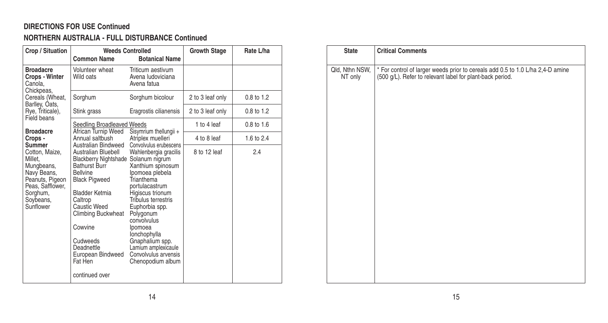# **NORTHERN AUSTRALIA - FULL DISTURBANCE Continued**

| Crop / Situation                                                                                                                    | <b>Weeds Controlled</b>                                                                                                                                                                                                                                                           |                                                                                                                                                                                                                                                                                                          | <b>Growth Stage</b> | Rate L/ha    |
|-------------------------------------------------------------------------------------------------------------------------------------|-----------------------------------------------------------------------------------------------------------------------------------------------------------------------------------------------------------------------------------------------------------------------------------|----------------------------------------------------------------------------------------------------------------------------------------------------------------------------------------------------------------------------------------------------------------------------------------------------------|---------------------|--------------|
|                                                                                                                                     | <b>Common Name</b>                                                                                                                                                                                                                                                                | <b>Botanical Name</b>                                                                                                                                                                                                                                                                                    |                     |              |
| <b>Broadacre</b><br>Crops - Winter<br>Canola.<br>Chickpeas.                                                                         | Volunteer wheat<br>Wild oats                                                                                                                                                                                                                                                      | Triticum aestivum<br>Avena Iudoviciana<br>Avena fatua                                                                                                                                                                                                                                                    |                     |              |
| Cereals (Wheat,<br>Barlley, Oats,                                                                                                   | Sorghum                                                                                                                                                                                                                                                                           | Sorghum bicolour                                                                                                                                                                                                                                                                                         | 2 to 3 leaf only    | $0.8$ to 1.2 |
| Rye, Triticale),<br>Field beans                                                                                                     | Stink grass                                                                                                                                                                                                                                                                       | Eragrostis cilianensis                                                                                                                                                                                                                                                                                   | 2 to 3 leaf only    | 0.8 to 1.2   |
| <b>Broadacre</b>                                                                                                                    | Seedling Broadleaved Weeds<br>African Turnip Weed                                                                                                                                                                                                                                 | Sisymrium thellungii +                                                                                                                                                                                                                                                                                   | 1 to 4 leaf         | 0.8 to 1.6   |
| Crops -<br>Summer                                                                                                                   | Annual saltbush<br>Australian Bindweed                                                                                                                                                                                                                                            | Atriplex muelleri<br>Convolvulus erubescens                                                                                                                                                                                                                                                              | 4 to 8 leaf         | 1.6 to 2.4   |
| Cotton, Maize,<br>Millet.<br>Mungbeans,<br>Navy Beans,<br>Peanuts, Pigeon<br>Peas, Safflower,<br>Sorghum,<br>Soybeans,<br>Sunflower | Australian Bluebell<br>Blackberry Nightshade Solanum nigrum<br>Bathurst Burr<br>Bellvine<br><b>Black Pigweed</b><br><b>Bladder Ketmia</b><br>Caltrop<br>Caustic Weed<br>Climbing Buckwheat<br>Cowvine<br>Cudweeds<br>Deadnettle<br>European Bindweed<br>Fat Hen<br>continued over | Wahlenbergia gracilis<br>Xanthium spinosum<br>Ipomoea plebela<br>Trianthema<br>portulacastrum<br>Higiscus trionum<br>Tribulus terrestris<br>Euphorbia spp.<br>Polygonum<br>convolvulus<br>Ipomoea<br>lonchophylla<br>Gnaphalium spp.<br>Lamium amplexicaule<br>Convolvulus arvensis<br>Chenopodium album | 8 to 12 leaf        | 2.4          |

| State                     | <b>Critical Comments</b>                                                                                                                 |
|---------------------------|------------------------------------------------------------------------------------------------------------------------------------------|
| Qld, Nthn NSW,<br>NT only | * For control of larger weeds prior to cereals add 0.5 to 1.0 L/ha 2,4-D amine (500 g/L). Refer to relevant label for plant-back period. |
|                           |                                                                                                                                          |
|                           |                                                                                                                                          |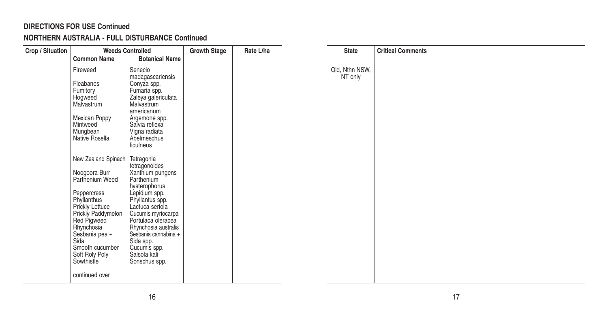# **NORTHERN AUSTRALIA - FULL DISTURBANCE Continued**

| Crop / Situation | <b>Weeds Controlled</b>                                                                                                                                                       |                                                                                                                                                                                                               | <b>Growth Stage</b> | Rate L/ha | <b>State</b>          |
|------------------|-------------------------------------------------------------------------------------------------------------------------------------------------------------------------------|---------------------------------------------------------------------------------------------------------------------------------------------------------------------------------------------------------------|---------------------|-----------|-----------------------|
|                  | <b>Common Name</b>                                                                                                                                                            | <b>Botanical Name</b>                                                                                                                                                                                         |                     |           |                       |
|                  | Fireweed                                                                                                                                                                      | Senecio<br>madagascariensis                                                                                                                                                                                   |                     |           | Qld, Nthn I<br>NT onl |
|                  | Fleabanes<br>Fumitory<br>Hogweed<br>Malvastrum<br>Mexican Poppy<br>Mintweed<br>Mungbean<br>Native Rosella                                                                     | Conyza spp.<br>Fumaria spp.<br>Zaleya galericulata<br>Malvastrum<br>americanum<br>Argemone spp.<br>Salvia reflexa<br>Vigna radiata<br>Abelmeschus                                                             |                     |           |                       |
|                  | New Zealand Spinach Tetragonia                                                                                                                                                | ficulneus<br>tetragonoides                                                                                                                                                                                    |                     |           |                       |
|                  | Noogoora Burr<br>Parthenium Weed                                                                                                                                              | Xanthium pungens<br>Parthenium<br>hysterophorus                                                                                                                                                               |                     |           |                       |
|                  | Peppercress<br>Phyllanthus<br>Prickly Lettuce<br>Prickly Paddymelon<br>Red Pigweed<br>Rhynchosia<br>Sesbania pea +<br>Sida<br>Smooth cucumber<br>Soft Roly Poly<br>Sowthistle | Lepidium spp.<br>Phyllantus spp.<br>Lactuca seriola<br>Cucumis myriocarpa<br>Portulaca oleracea<br>Rhynchosia australis<br>Sesbania cannabina +<br>Sida spp.<br>Cucumis spp.<br>Salsola kali<br>Sonschus spp. |                     |           |                       |
|                  | continued over                                                                                                                                                                |                                                                                                                                                                                                               |                     |           |                       |

| State                     | <b>Critical Comments</b> |
|---------------------------|--------------------------|
| Qld, Nthn NSW,<br>NT only |                          |
|                           |                          |
|                           |                          |
|                           |                          |
|                           |                          |
|                           |                          |
|                           |                          |
|                           |                          |
|                           |                          |
|                           |                          |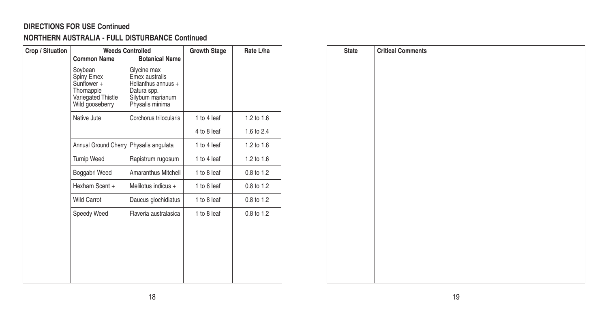# **NORTHERN AUSTRALIA - FULL DISTURBANCE Continued**

| <b>Weeds Controlled</b>                                                                     |                                                                                                            | <b>Growth Stage</b>                    | Rate L/ha      |
|---------------------------------------------------------------------------------------------|------------------------------------------------------------------------------------------------------------|----------------------------------------|----------------|
| <b>Common Name</b>                                                                          | <b>Botanical Name</b>                                                                                      |                                        |                |
| Soybean<br>Spiny Emex<br>Sunflower +<br>Thornapple<br>Variegated Thistle<br>Wild gooseberry | Glycine max<br>Emex australis<br>Helianthus annuus +<br>Datura spp.<br>Silybum marianum<br>Physalis minima |                                        |                |
| Native Jute                                                                                 | Corchorus trilocularis                                                                                     | 1 to 4 leaf                            | 1.2 to $1.6$   |
|                                                                                             |                                                                                                            | 4 to 8 leaf                            | 1.6 to $2.4$   |
|                                                                                             |                                                                                                            | 1 to 4 leaf                            | 1.2 to 1.6     |
| <b>Turnip Weed</b>                                                                          | Rapistrum rugosum                                                                                          | 1 to 4 leaf                            | 1.2 to $1.6$   |
| Boggabri Weed                                                                               | Amaranthus Mitchell                                                                                        | 1 to 8 leaf                            | $0.8$ to $1.2$ |
| Hexham Scent +                                                                              | Melilotus indicus +                                                                                        | 1 to 8 leaf                            | $0.8$ to $1.2$ |
| <b>Wild Carrot</b>                                                                          | Daucus glochidiatus                                                                                        | 1 to 8 leaf                            | 0.8 to 1.2     |
| Speedy Weed                                                                                 | Flaveria australasica                                                                                      | 1 to 8 leaf                            | 0.8 to 1.2     |
|                                                                                             |                                                                                                            |                                        |                |
|                                                                                             |                                                                                                            |                                        |                |
|                                                                                             |                                                                                                            |                                        |                |
|                                                                                             |                                                                                                            | Annual Ground Cherry Physalis angulata |                |

| <b>State</b> | <b>Critical Comments</b> |
|--------------|--------------------------|
|              |                          |
|              |                          |
|              |                          |
|              |                          |
|              |                          |
|              |                          |
|              |                          |
|              |                          |
|              |                          |
|              |                          |
|              |                          |
|              |                          |
|              |                          |
|              |                          |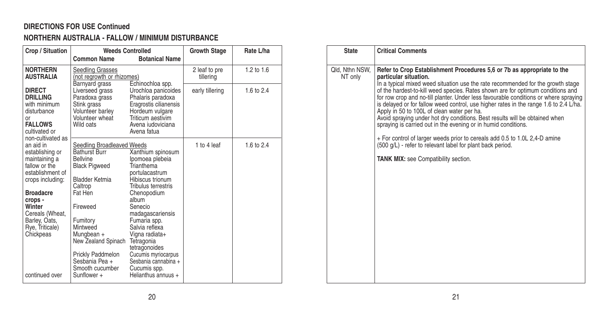# **NORTHERN AUSTRALIA - FALLOW / MINIMUM DISTURBANCE**

| Crop / Situation                                                                                                                                                                                                                                           | <b>Weeds Controlled</b>                                                                                                                                                                                                                                                          |                                                                                                                                                                                                                                                                                                                                                 | <b>Growth Stage</b>        | Rate L/ha  |
|------------------------------------------------------------------------------------------------------------------------------------------------------------------------------------------------------------------------------------------------------------|----------------------------------------------------------------------------------------------------------------------------------------------------------------------------------------------------------------------------------------------------------------------------------|-------------------------------------------------------------------------------------------------------------------------------------------------------------------------------------------------------------------------------------------------------------------------------------------------------------------------------------------------|----------------------------|------------|
|                                                                                                                                                                                                                                                            | <b>Common Name</b>                                                                                                                                                                                                                                                               | <b>Botanical Name</b>                                                                                                                                                                                                                                                                                                                           |                            |            |
| <b>NORTHERN</b><br><b>AUSTRALIA</b>                                                                                                                                                                                                                        | Seedling Grasses<br>(not regrowth or rhizomes)<br>Barnyard grass                                                                                                                                                                                                                 | Echinochloa spp.                                                                                                                                                                                                                                                                                                                                | 2 leaf to pre<br>tillering | 1.2 to 1.6 |
| <b>DIRECT</b><br><b>DRILLING</b><br>with minimum<br>disturbance<br>or<br><b>FALLOWS</b><br>cultivated or                                                                                                                                                   | Liverseed grass<br>Paradoxa grass<br>Stink grass<br>Volunteer barley<br>Volunteer wheat<br>Wild oats                                                                                                                                                                             | Urochloa panicoides<br>Phalaris paradoxa<br>Eragrostis cilianensis<br>Hordeum vulgare<br>Triticum aestivim<br>Avena judoviciana<br>Avena fatua                                                                                                                                                                                                  | early tillering            | 1.6 to 2.4 |
| non-cultivated as<br>an aid in<br>establishing or<br>maintaining a<br>fallow or the<br>establishment of<br>crops including:<br><b>Broadacre</b><br>crops -<br>Winter<br>Cereals (Wheat,<br>Barley, Oats,<br>Rye, Triticale)<br>Chickpeas<br>continued over | <b>Seedling Broadleaved Weeds</b><br>Bathurst Burr<br>Bellvine<br><b>Black Pigweed</b><br>Bladder Ketmia<br>Caltrop<br>Fat Hen<br>Fireweed<br>Fumitory<br>Mintweed<br>Mungbean +<br>New Zealand Spinach<br>Prickly Paddmelon<br>Sesbania Pea +<br>Smooth cucumber<br>Sunflower + | Xanthium spinosum<br>Ipomoea plebeia<br>Trianthema<br>portulacastrum<br>Hibiscus trionum<br>Tribulus terrestris<br>Chenopodium<br>album<br>Senecio<br>madagascariensis<br>Fumaria spp.<br>Salvia reflexa<br>Vigna radiata+<br>Tetragonia<br>tetragonoides<br>Cucumis myriocarpus<br>Sesbania cannabina +<br>Cucumis spp.<br>Helianthus annuus + | 1 to 4 leaf                | 1.6 to 2.4 |

| <b>State</b>              | <b>Critical Comments</b>                                                                                                                                                                                                                                                                                                                                                                                                                                                                                                                                                                                                                              |
|---------------------------|-------------------------------------------------------------------------------------------------------------------------------------------------------------------------------------------------------------------------------------------------------------------------------------------------------------------------------------------------------------------------------------------------------------------------------------------------------------------------------------------------------------------------------------------------------------------------------------------------------------------------------------------------------|
| Qld. Nthn NSW.<br>NT only | Refer to Crop Establishment Procedures 5,6 or 7b as appropriate to the<br>particular situation.<br>In a typical mixed weed situation use the rate recommended for the growth stage<br>of the hardest-to-kill weed species. Rates shown are for optimum conditions and<br>for row crop and no-till planter. Under less favourable conditions or where spraying<br>is delayed or for fallow weed control, use higher rates in the range 1.6 to 2.4 L/ha.<br>Apply in 50 to 100L of clean water per ha.<br>Avoid spraying under hot dry conditions. Best results will be obtained when<br>spraying is carried out in the evening or in humid conditions. |
|                           | + For control of larger weeds prior to cereals add 0.5 to 1.0L 2,4-D amine<br>(500 g/L) - refer to relevant label for plant back period.                                                                                                                                                                                                                                                                                                                                                                                                                                                                                                              |
|                           | <b>TANK MIX:</b> see Compatibility section.                                                                                                                                                                                                                                                                                                                                                                                                                                                                                                                                                                                                           |
|                           |                                                                                                                                                                                                                                                                                                                                                                                                                                                                                                                                                                                                                                                       |
|                           |                                                                                                                                                                                                                                                                                                                                                                                                                                                                                                                                                                                                                                                       |
|                           |                                                                                                                                                                                                                                                                                                                                                                                                                                                                                                                                                                                                                                                       |
|                           |                                                                                                                                                                                                                                                                                                                                                                                                                                                                                                                                                                                                                                                       |
|                           |                                                                                                                                                                                                                                                                                                                                                                                                                                                                                                                                                                                                                                                       |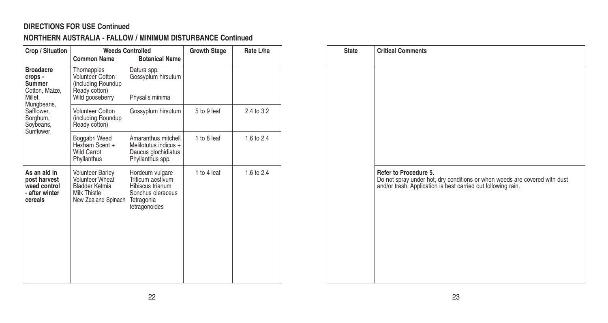# **NORTHERN AUSTRALIA - FALLOW / MINIMUM DISTURBANCE Continued**

| Crop / Situation                                                                                                                     | <b>Weeds Controlled</b>                                                                                    |                                                                                                              | <b>Growth Stage</b> | Rate L/ha    |
|--------------------------------------------------------------------------------------------------------------------------------------|------------------------------------------------------------------------------------------------------------|--------------------------------------------------------------------------------------------------------------|---------------------|--------------|
|                                                                                                                                      | <b>Common Name</b>                                                                                         | <b>Botanical Name</b>                                                                                        |                     |              |
| <b>Broadacre</b><br>crops -<br>Summer<br>Cotton, Maize,<br>Millet.<br>Mungbeans,<br>Safflower.<br>Sorahum.<br>Soybeans,<br>Sunflower | Thornapples<br><b>Volunteer Cotton</b><br>(including Roundup<br>Ready cotton)<br>Wild gooseberry           | Datura spp.<br>Gossyplum hirsutum<br>Physalis minima                                                         |                     |              |
|                                                                                                                                      | <b>Volunteer Cotton</b><br>(including Roundup<br>Ready cotton)                                             | Gossyplum hirsutum                                                                                           | 5 to 9 leaf         | 2.4 to 3.2   |
|                                                                                                                                      | Boggabri Weed<br>Hexham Scent +<br>Wild Carrot<br>Phyllanthus                                              | Amaranthus mitchell<br>Melilotutus indicus +<br>Daucus glochidiatus<br>Phyllanthus spp.                      | 1 to 8 leaf         | 1.6 to $2.4$ |
| As an aid in<br>post harvest<br>weed control<br>- after winter<br>cereals                                                            | <b>Volunteer Barley</b><br>Volunteer Wheat<br><b>Bladder Ketmia</b><br>Milk Thistle<br>New Zealand Spinach | Hordeum vulgare<br>Triticum aestivum<br>Hibiscus trianum<br>Sonchus oleraceus<br>Tetragonia<br>tetragonoides | 1 to 4 leaf         | 1.6 to 2.4   |

| <b>State</b> | <b>Critical Comments</b>                                                                                                                                          |
|--------------|-------------------------------------------------------------------------------------------------------------------------------------------------------------------|
|              |                                                                                                                                                                   |
|              | Refer to Procedure 5.<br>Do not spray under hot, dry conditions or when weeds are covered with dust and/or trash. Application is best carried out following rain. |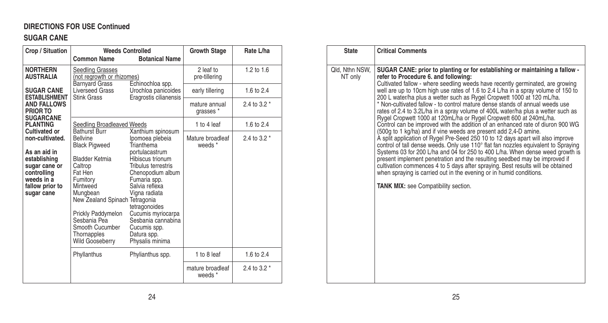# **SUGAR CANE**

| Crop / Situation                                                                                                                                | <b>Weeds Controlled</b>                                                                                                                                                                              |                                                                                                                                                                                                                                                                                                        | <b>Growth Stage</b>         | Rate L/ha    |
|-------------------------------------------------------------------------------------------------------------------------------------------------|------------------------------------------------------------------------------------------------------------------------------------------------------------------------------------------------------|--------------------------------------------------------------------------------------------------------------------------------------------------------------------------------------------------------------------------------------------------------------------------------------------------------|-----------------------------|--------------|
|                                                                                                                                                 | <b>Common Name</b>                                                                                                                                                                                   | <b>Botanical Name</b>                                                                                                                                                                                                                                                                                  |                             |              |
| <b>NORTHERN</b><br><b>AUSTRALIA</b>                                                                                                             | Seedling Grasses<br><b>Barnyard Grass</b>                                                                                                                                                            | (not regrowth or rhizomes)<br>Echinochloa spp.                                                                                                                                                                                                                                                         |                             | 1.2 to 1.6   |
| <b>SUGAR CANE</b><br><b>ESTABLISHMENT</b>                                                                                                       | Liverseed Grass<br><b>Stink Grass</b>                                                                                                                                                                | Urochloa panicoides<br>Eragrostis cilianensis                                                                                                                                                                                                                                                          | early tillering             | 1.6 to $2.4$ |
| <b>AND FALLOWS</b><br>PRIOR TO<br><b>SUGARCANE</b>                                                                                              |                                                                                                                                                                                                      |                                                                                                                                                                                                                                                                                                        | mature annual<br>qrasses *  | 2.4 to 3.2 * |
| <b>PLANTING</b>                                                                                                                                 | Seedling Broadleaved Weeds                                                                                                                                                                           |                                                                                                                                                                                                                                                                                                        | 1 to 4 leaf                 | 1.6 to 2.4   |
| Cultivated or<br>non-cultivated.<br>As an aid in<br>establishing<br>sugar cane or<br>controlling<br>weeds in a<br>fallow prior to<br>sugar cane | Bathurst Burr<br><b>Bellvine</b><br><b>Black Pigweed</b><br><b>Bladder Ketmia</b><br>Caltrop<br>Fat Hen<br>Fumitory<br>Mintweed<br>Mungbean<br>Prickly Paddymelon<br>Sesbania Pea<br>Smooth Cucumber | Xanthium spinosum<br>Ipomoea plebeia<br>Trianthema<br>portulacastrum<br>Hibiscus trionum<br>Tribulus terrestris<br>Chenopodium album<br>Fumaria spp.<br>Salvia reflexa<br>Vigna radiata<br>New Zealand Spinach Tetragonia<br>tetragonoides<br>Cucumis myriocarpa<br>Sesbania cannabina<br>Cucumis spp. | Mature broadleaf<br>weeds * | 2.4 to 3.2 * |
|                                                                                                                                                 | Thornapples<br>Datura spp.<br>Physalis minima<br><b>Wild Gooseberry</b>                                                                                                                              |                                                                                                                                                                                                                                                                                                        |                             |              |
|                                                                                                                                                 | Phyllanthus                                                                                                                                                                                          | Phylianthus spp.                                                                                                                                                                                                                                                                                       | 1 to 8 leaf                 | 1.6 to $2.4$ |
|                                                                                                                                                 |                                                                                                                                                                                                      |                                                                                                                                                                                                                                                                                                        | mature broadleaf<br>weeds * | 2.4 to 3.2 * |

| <b>Critical Comments</b>                                                                                                                                                                                                                                                                                                                                                                                                                                                                                                                                                                                                                                                                                                                                                                                                                                                                                                                                                                                                                                                                                                                                                                                                                                                                                              |
|-----------------------------------------------------------------------------------------------------------------------------------------------------------------------------------------------------------------------------------------------------------------------------------------------------------------------------------------------------------------------------------------------------------------------------------------------------------------------------------------------------------------------------------------------------------------------------------------------------------------------------------------------------------------------------------------------------------------------------------------------------------------------------------------------------------------------------------------------------------------------------------------------------------------------------------------------------------------------------------------------------------------------------------------------------------------------------------------------------------------------------------------------------------------------------------------------------------------------------------------------------------------------------------------------------------------------|
| SUGAR CANE: prior to planting or for establishing or maintaining a fallow -<br>refer to Procedure 6. and following:<br>Cultivated fallow - where seedling weeds have recently germinated, are growing<br>well are up to 10cm high use rates of 1.6 to 2.4 L/ha in a spray volume of 150 to<br>200 L water/ha plus a wetter such as Rygel Cropwett 1000 at 120 mL/ha.<br>* Non-cultivated fallow - to control mature dense stands of annual weeds use<br>rates of 2.4 to 3.2L/ha in a spray volume of 400L water/ha plus a wetter such as<br>Rygel Cropwett 1000 at 120mL/ha or Rygel Cropwett 600 at 240mL/ha.<br>Control can be improved with the addition of an enhanced rate of diuron 900 WG<br>(500g to 1 kg/ha) and if vine weeds are present add 2,4-D amine.<br>A split application of Rygel Pre-Seed 250 10 to 12 days apart will also improve<br>control of tall dense weeds. Only use 110° flat fan nozzles equivalent to Spraying<br>Systems 03 for 200 L/ha and 04 for 250 to 400 L/ha. When dense weed growth is<br>present implement penetration and the resulting seedbed may be improved if<br>cultivation commences 4 to 5 days after spraying. Best results will be obtained<br>when spraying is carried out in the evening or in humid conditions.<br><b>TANK MIX:</b> see Compatibility section. |
|                                                                                                                                                                                                                                                                                                                                                                                                                                                                                                                                                                                                                                                                                                                                                                                                                                                                                                                                                                                                                                                                                                                                                                                                                                                                                                                       |
| Qld, Nthn NSW,                                                                                                                                                                                                                                                                                                                                                                                                                                                                                                                                                                                                                                                                                                                                                                                                                                                                                                                                                                                                                                                                                                                                                                                                                                                                                                        |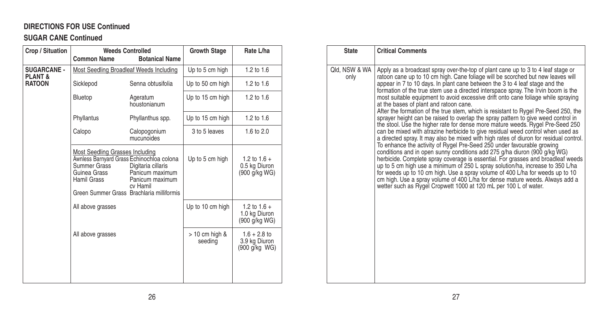# **SUGAR CANE Continued**

| Crop / Situation                         | <b>Weeds Controlled</b>                                                                                                                                                                                                                                 |                            | <b>Growth Stage</b>            | Rate L/ha                                        |
|------------------------------------------|---------------------------------------------------------------------------------------------------------------------------------------------------------------------------------------------------------------------------------------------------------|----------------------------|--------------------------------|--------------------------------------------------|
|                                          | <b>Common Name</b>                                                                                                                                                                                                                                      | <b>Botanical Name</b>      |                                |                                                  |
| <b>SUGARCANE -</b><br><b>PLANT &amp;</b> | Most Seedling Broadleaf Weeds Including                                                                                                                                                                                                                 |                            | Up to 5 cm high                | 1.2 to 1.6                                       |
| <b>RATOON</b>                            | Sicklepod                                                                                                                                                                                                                                               | Senna obtusifolia          | Up to 50 cm high               | 1.2 to $1.6$                                     |
|                                          | Bluetop                                                                                                                                                                                                                                                 | Ageratum<br>houstonianum   | Up to 15 cm high               | 1.2 to $1.6$                                     |
|                                          | Phyllantus                                                                                                                                                                                                                                              | Phyllanthus spp.           | Up to 15 cm high               | 1.2 to $1.6$                                     |
|                                          | Calopo                                                                                                                                                                                                                                                  | Calopogonium<br>mucunoides | 3 to 5 leaves                  | 1.6 to $2.0$                                     |
|                                          | <b>Most Seedling Grasses Including</b><br>Awnless Barnyard Grass Echinochloa colona<br>Summer Grass<br>Digitaria cillaris<br>Guinea Grass<br>Panicum maximum<br>Hamil Grass<br>Panicum maximum<br>cv Hamil<br>Green Summer Grass Brachlaria milliformis |                            | Up to 5 cm high                | 1.2 to $1.6 +$<br>0.5 kg Diuron<br>(900 g/kg WG) |
|                                          | All above grasses                                                                                                                                                                                                                                       |                            | Up to 10 cm high               | 1.2 to $1.6 +$<br>1.0 kg Diuron<br>(900 g/kg WG) |
|                                          | All above grasses                                                                                                                                                                                                                                       |                            | $> 10$ cm high $\&$<br>seeding | $1.6 + 2.8$ to<br>3.9 kg Diuron<br>(900 g/kg WG) |
|                                          |                                                                                                                                                                                                                                                         |                            |                                |                                                  |

| <b>State</b>          | <b>Critical Comments</b>                                                                                                                                                                                                                                                                                                                                                                                                                                                                                                                                                                                                                                                                                                                                                                                                                                                                                                                                                                                                                                                                                                                                                                                                                                                                                                                                                                                                                                                            |
|-----------------------|-------------------------------------------------------------------------------------------------------------------------------------------------------------------------------------------------------------------------------------------------------------------------------------------------------------------------------------------------------------------------------------------------------------------------------------------------------------------------------------------------------------------------------------------------------------------------------------------------------------------------------------------------------------------------------------------------------------------------------------------------------------------------------------------------------------------------------------------------------------------------------------------------------------------------------------------------------------------------------------------------------------------------------------------------------------------------------------------------------------------------------------------------------------------------------------------------------------------------------------------------------------------------------------------------------------------------------------------------------------------------------------------------------------------------------------------------------------------------------------|
| Qld, NSW & WA<br>only | Apply as a broadcast spray over-the-top of plant cane up to 3 to 4 leaf stage or<br>ratoon cane up to 10 cm high. Cane foliage will be scorched but new leaves will<br>appear in 7 to 10 days. In plant cane between the 3 to 4 leaf stage and the<br>formation of the true stem use a directed interspace spray. The Irvin boom is the<br>most suitable equipment to avoid excessive drift onto cane foliage while spraying<br>at the bases of plant and ratoon cane.<br>After the formation of the true stem, which is resistant to Rygel Pre-Seed 250, the<br>sprayer height can be raised to overlap the spray pattern to give weed control in<br>the stool. Use the higher rate for dense more mature weeds. Rygel Pre-Seed 250<br>can be mixed with atrazine herbicide to give residual weed control when used as<br>a directed spray. It may also be mixed with high rates of diuron for residual control.<br>To enhance the activity of Rygel Pre-Seed 250 under favourable growing<br>conditions and in open sunny conditions add 275 g/ha diuron (900 g/kg WG)<br>herbicide. Complete spray coverage is essential. For grasses and broadleaf weeds<br>up to 5 cm high use a minimum of 250 L spray solution/ha, increase to 350 L/ha<br>for weeds up to 10 cm high. Use a spray volume of 400 L/ha for weeds up to 10<br>cm high. Use a spray volume of 400 L/ha for dense mature weeds. Always add a<br>wetter such as Rygel Cropwett 1000 at 120 mL per 100 L of water. |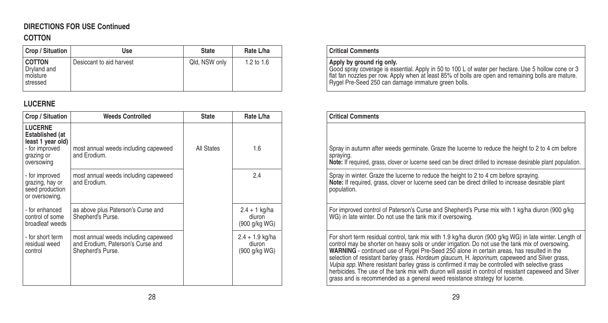# **COTTON**

| Crop / Situation                                     | Use                      | <b>State</b>  | Rate L/ha  |
|------------------------------------------------------|--------------------------|---------------|------------|
| <b>COTTON</b><br>Drvland and<br>moisture<br>stressed | Desiccant to aid harvest | Qld, NSW only | 1.2 to 1.6 |

# **LUCERNE**

| Crop / Situation                                                                                     | <b>Weeds Controlled</b>                                                                        | <b>State</b> | Rate L/ha                                    |
|------------------------------------------------------------------------------------------------------|------------------------------------------------------------------------------------------------|--------------|----------------------------------------------|
| <b>LUCERNE</b><br>Established (at<br>least 1 year old)<br>- for improved<br>grazing or<br>oversowing | most annual weeds including capeweed<br>and Erodium.                                           | All States   | 1.6                                          |
| - for improved<br>grazing, hay or<br>seed production<br>or oversowing.                               | most annual weeds including capeweed<br>and Erodium.                                           |              | 2.4                                          |
| - for enhanced<br>control of some<br>broadleaf weeds                                                 | as above plus Paterson's Curse and<br>Shepherd's Purse.                                        |              | $2.4 + 1$ kg/ha<br>diuron<br>(900 g/kg WG)   |
| - for short term<br>residual weed<br>control                                                         | most annual weeds including capeweed<br>and Erodium, Paterson's Curse and<br>Shepherd's Purse. |              | $2.4 + 1.9$ kg/ha<br>diuron<br>(900 g/kg WG) |
|                                                                                                      |                                                                                                |              |                                              |

### **Critical Comments**

**Apply by ground rig only.**<br>Good spray coverage is essential. Apply in 50 to 100 L of water per hectare. Use 5 hollow cone or 3<br>flat fan nozzles per row. Apply when at least 85% of bolls are open and remaining bolls are ma

| <b>Critical Comments</b>                                                                                                                                                                                                                                                                                                                                                                                                                                                                                                                                                                                                                                                                                        |
|-----------------------------------------------------------------------------------------------------------------------------------------------------------------------------------------------------------------------------------------------------------------------------------------------------------------------------------------------------------------------------------------------------------------------------------------------------------------------------------------------------------------------------------------------------------------------------------------------------------------------------------------------------------------------------------------------------------------|
|                                                                                                                                                                                                                                                                                                                                                                                                                                                                                                                                                                                                                                                                                                                 |
| Spray in autumn after weeds germinate. Graze the lucerne to reduce the height to 2 to 4 cm before<br>spraying.<br>Note: If required, grass, clover or lucerne seed can be direct drilled to increase desirable plant population.                                                                                                                                                                                                                                                                                                                                                                                                                                                                                |
| Spray in winter. Graze the lucerne to reduce the height to 2 to 4 cm before spraying.<br>Note: If required, grass, clover or lucerne seed can be direct drilled to increase desirable plant<br>population.                                                                                                                                                                                                                                                                                                                                                                                                                                                                                                      |
| For improved control of Paterson's Curse and Shepherd's Purse mix with 1 kg/ha diuron (900 g/kg<br>WG) in late winter. Do not use the tank mix if oversowing.                                                                                                                                                                                                                                                                                                                                                                                                                                                                                                                                                   |
| For short term residual control, tank mix with 1.9 kg/ha diuron (900 g/kg WG) in late winter. Length of<br>control may be shorter on heavy soils or under irrigation. Do not use the tank mix of oversowing.<br><b>WARNING</b> - continued use of Rygel Pre-Seed 250 alone in certain areas, has resulted in the<br>selection of resistant barley grass. Hordeum glaucum, H. leporinum, capeweed and Silver grass,<br>Vulpia spp. Where resistant barley grass is confirmed it may be controlled with selective grass<br>herbicides. The use of the tank mix with diuron will assist in control of resistant capeweed and Silver<br>grass and is recommended as a general weed resistance strategy for lucerne. |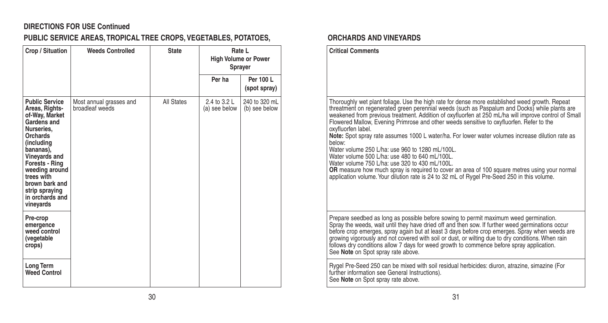# **PUBLIC SERVICE AREAS, TROPICAL TREE CROPS, VEGETABLES, POTATOES, ORCHARDS AND VINEYARDS**

| Crop / Situation                                                                                                                                                                                                                                                     | <b>Weeds Controlled</b>                    | <b>State</b> | Rate L<br><b>High Volume or Power</b><br>Sprayer |                                |
|----------------------------------------------------------------------------------------------------------------------------------------------------------------------------------------------------------------------------------------------------------------------|--------------------------------------------|--------------|--------------------------------------------------|--------------------------------|
|                                                                                                                                                                                                                                                                      |                                            |              | Per ha                                           | Per 100 L<br>(spot spray)      |
| <b>Public Service</b><br>Areas, Rights-<br>of-Way, Market<br>Gardens and<br>Nurseries,<br>Orchards<br>(including<br>bananas),<br>Vineyards and<br>Forests - Ring<br>weeding around<br>trees with<br>brown bark and<br>strip spraying<br>in orchards and<br>vineyards | Most annual grasses and<br>broadleaf weeds | All States   | 2.4 to 3.2 L<br>(a) see below                    | 240 to 320 mL<br>(b) see below |
| Pre-crop<br>emergence<br>weed control<br>(vegetable<br>crops)<br>Long Term                                                                                                                                                                                           |                                            |              |                                                  |                                |
| <b>Weed Control</b>                                                                                                                                                                                                                                                  |                                            |              |                                                  |                                |

| <b>Critical Comments</b>                                                                                                                                                                                                                                                                                                                                                                                                                                                                                                                                                                                                                                                                                                                                                                                                                                                                       |
|------------------------------------------------------------------------------------------------------------------------------------------------------------------------------------------------------------------------------------------------------------------------------------------------------------------------------------------------------------------------------------------------------------------------------------------------------------------------------------------------------------------------------------------------------------------------------------------------------------------------------------------------------------------------------------------------------------------------------------------------------------------------------------------------------------------------------------------------------------------------------------------------|
| Thoroughly wet plant foliage. Use the high rate for dense more established weed growth. Repeat<br>threatment on regenerated green perennial weeds (such as Paspalum and Docks) while plants are<br>weakened from previous treatment. Addition of oxyfluorfen at 250 mL/ha will improve control of Small<br>Flowered Mallow, Evening Primrose and other weeds sensitive to oxyfluorfen. Refer to the<br>oxyfluorfen label.<br>Note: Spot spray rate assumes 1000 L water/ha. For lower water volumes increase dilution rate as<br>below:<br>Water volume 250 L/ha: use 960 to 1280 mL/100L.<br>Water volume 500 L/ha: use 480 to 640 mL/100L.<br>Water volume 750 L/ha: use 320 to 430 mL/100L.<br>OR measure how much spray is required to cover an area of 100 square metres using your normal<br>application volume. Your dilution rate is 24 to 32 mL of Rygel Pre-Seed 250 in this volume. |
| Prepare seedbed as long as possible before sowing to permit maximum weed germination.<br>Spray the weeds, wait until they have dried off and then sow. If further weed germinations occur<br>before crop emerges, spray again but at least 3 days before crop emerges. Spray when weeds are<br>growing vigorously and not covered with soil or dust, or wilting due to dry conditions. When rain<br>follows dry conditions allow 7 days for weed growth to commence before spray application.<br>See Note on Spot spray rate above.                                                                                                                                                                                                                                                                                                                                                            |
| Rygel Pre-Seed 250 can be mixed with soil residual herbicides: diuron, atrazine, simazine (For<br>further information see General Instructions).<br>See Note on Spot spray rate above.                                                                                                                                                                                                                                                                                                                                                                                                                                                                                                                                                                                                                                                                                                         |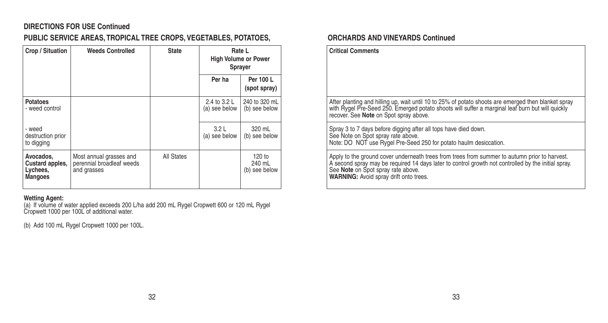# PUBLIC SERVICE AREAS, TROPICAL TREE CROPS, VEGETABLES, POTATOES, **FROM A CONTAGRAGISM** ORCHARDS AND VINEYARDS Continued

| Crop / Situation                                    | <b>Weeds Controlled</b>                                             | <b>State</b> | Rate L<br><b>High Volume or Power</b><br>Sprayer |                                     |
|-----------------------------------------------------|---------------------------------------------------------------------|--------------|--------------------------------------------------|-------------------------------------|
|                                                     |                                                                     |              | Per ha                                           | Per 100 L<br>(spot spray)           |
| <b>Potatoes</b><br>- weed control                   |                                                                     |              | 2.4 to 3.2 L<br>(a) see below                    | 240 to 320 mL<br>(b) see below      |
| - weed<br>destruction prior<br>to digging           |                                                                     |              | 3.2 <sub>L</sub><br>(a) see below                | 320 mL<br>(b) see below             |
| Avocados.<br>Custard apples,<br>Lychees,<br>Mangoes | Most annual grasses and<br>perennial broadleaf weeds<br>and grasses | All States   |                                                  | $120$ to<br>240 mL<br>(b) see below |

**Wetting Agent:**<br>(a) If volume of water applied exceeds 200 L/ha add 200 mL Rygel Cropwett 600 or 120 mL Rygel<br>Cropwett 1000 per 100L of additional water.

(b) Add 100 mL Rygel Cropwett 1000 per 100L.

| <b>Critical Comments</b>                                                                                                                                                                                                                                                                    |
|---------------------------------------------------------------------------------------------------------------------------------------------------------------------------------------------------------------------------------------------------------------------------------------------|
| After planting and hilling up, wait until 10 to 25% of potato shoots are emerged then blanket spray<br>with Rygel Pre-Seed 250. Emerged potato shoots will suffer a marginal leaf burn but will quickly<br>recover. See Note on Spot spray above.                                           |
| Spray 3 to 7 days before digging after all tops have died down.<br>See Note on Spot spray rate above.<br>Note: DO NOT use Rygel Pre-Seed 250 for potato haulm desiccation.                                                                                                                  |
| Apply to the ground cover underneath trees from trees from summer to autumn prior to harvest.<br>A second spray may be required 14 days later to control growth not controlled by the initial spray.<br>See Note on Spot spray rate above.<br><b>WARNING:</b> Avoid spray drift onto trees. |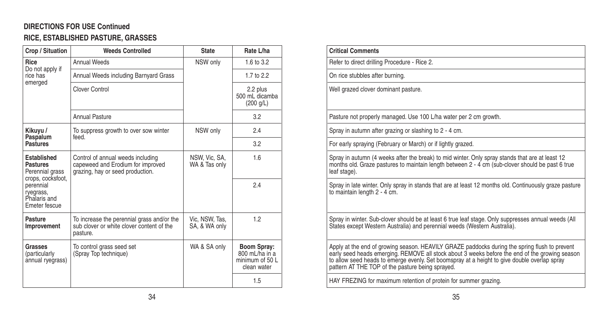# **RICE, ESTABLISHED PASTURE, GRASSES**

| Crop / Situation                                                       | <b>Weeds Controlled</b>                                                                                    | <b>State</b>                    | Rate L/ha                                                       |
|------------------------------------------------------------------------|------------------------------------------------------------------------------------------------------------|---------------------------------|-----------------------------------------------------------------|
| Rice<br>Do not apply if<br>rice has                                    | <b>Annual Weeds</b>                                                                                        | NSW only                        | 1.6 to $3.2$                                                    |
|                                                                        | Annual Weeds including Barnyard Grass                                                                      |                                 | 1.7 to $2.2$                                                    |
| emerged                                                                | Clover Control                                                                                             |                                 | 2.2 plus<br>500 mL dicamba<br>(200 q/L)                         |
|                                                                        | <b>Annual Pasture</b>                                                                                      |                                 | 3.2                                                             |
| Kikuyu /<br>Paspalum                                                   | To suppress growth to over sow winter<br>feed.                                                             | NSW only                        | 2.4                                                             |
| <b>Pastures</b>                                                        |                                                                                                            |                                 | 3.2                                                             |
| Established<br><b>Pastures</b><br>Perennial grass<br>crops, cocksfoot, | Control of annual weeds including<br>capeweed and Erodium for improved<br>grazing, hay or seed production. | NSW, Vic, SA,<br>WA & Tas only  | 1.6                                                             |
| perennial<br>ryegrass,<br>Phalaris and<br>Emeter fescue                |                                                                                                            |                                 | 24                                                              |
| Pasture<br>Improvement                                                 | To increase the perennial grass and/or the<br>sub clover or white clover content of the<br>pasture.        | Vic. NSW. Tas.<br>SA, & WA only | 12                                                              |
| Grasses<br>(particularly<br>annual ryegrass)                           | To control grass seed set<br>(Spray Top technique)                                                         | WA & SA only                    | Boom Spray:<br>800 mL/ha in a<br>minimum of 50 L<br>clean water |
|                                                                        |                                                                                                            |                                 | 1.5                                                             |

| <b>Critical Comments</b>                                                                                                                                                                                                                                                                                                                            |  |  |
|-----------------------------------------------------------------------------------------------------------------------------------------------------------------------------------------------------------------------------------------------------------------------------------------------------------------------------------------------------|--|--|
| Refer to direct drilling Procedure - Rice 2.                                                                                                                                                                                                                                                                                                        |  |  |
| On rice stubbles after burning.                                                                                                                                                                                                                                                                                                                     |  |  |
| Well grazed clover dominant pasture.                                                                                                                                                                                                                                                                                                                |  |  |
| Pasture not properly managed. Use 100 L/ha water per 2 cm growth.                                                                                                                                                                                                                                                                                   |  |  |
| Spray in autumn after grazing or slashing to 2 - 4 cm.                                                                                                                                                                                                                                                                                              |  |  |
| For early spraying (February or March) or if lightly grazed.                                                                                                                                                                                                                                                                                        |  |  |
| Spray in autumn (4 weeks after the break) to mid winter. Only spray stands that are at least 12<br>months old. Graze pastures to maintain length between 2 - 4 cm (sub-clover should be past 6 true<br>leaf stage).                                                                                                                                 |  |  |
| Spray in late winter. Only spray in stands that are at least 12 months old. Continuously graze pasture<br>to maintain length 2 - 4 cm.                                                                                                                                                                                                              |  |  |
| Spray in winter. Sub-clover should be at least 6 true leaf stage. Only suppresses annual weeds (All<br>States except Western Australia) and perennial weeds (Western Australia).                                                                                                                                                                    |  |  |
| Apply at the end of growing season. HEAVILY GRAZE paddocks during the spring flush to prevent<br>early seed heads emerging. REMOVE all stock about 3 weeks before the end of the growing season<br>to allow seed heads to emerge evenly. Set boomspray at a height to give double overlap spray<br>pattern AT THE TOP of the pasture being sprayed. |  |  |
| HAY FREZING for maximum retention of protein for summer grazing.                                                                                                                                                                                                                                                                                    |  |  |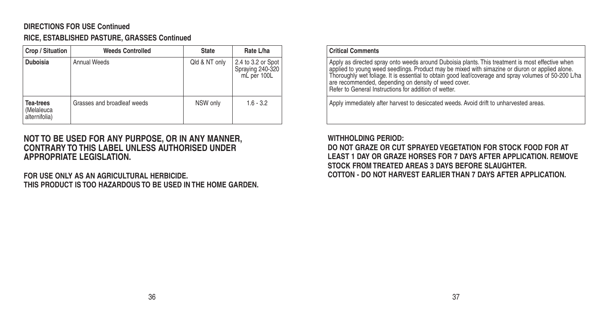### **RICE, ESTABLISHED PASTURE, GRASSES Continued**

| Crop / Situation                                | <b>Weeds Controlled</b>     | <b>State</b>  | Rate L/ha                                             |
|-------------------------------------------------|-----------------------------|---------------|-------------------------------------------------------|
| <b>Duboisia</b>                                 | Annual Weeds                | Qld & NT only | 2.4 to 3.2 or Spot<br>Spraying 240-320<br>mL per 100L |
| <b>Tea-trees</b><br>(Melaleuca<br>alternifolia) | Grasses and broadleaf weeds | NSW only      | $1.6 - 3.2$                                           |

## **NOT TO BE USED FOR ANY PURPOSE, OR IN ANY MANNER, CONTRARY TO THIS LABEL UNLESS AUTHORISED UNDER APPROPRIATE LEGISLATION.**

**FOR USE ONLY AS AN AGRICULTURAL HERBICIDE. THIS PRODUCT IS TOO HAZARDOUS TO BE USED IN THE HOME GARDEN.**

#### **Critical Comments**

Apply as directed spray onto weeds around Duboisia plants. This treatment is most effective when<br>applied to young weed seedlings. Product may be mixed with simazine or diuron or applied alone.<br>Thoroughly wet foliage. It is

Apply immediately after harvest to desiccated weeds. Avoid drift to unharvested areas.

#### WITHHOLDING PERIOD:

**DO NOT GRAZE OR CUT SPRAYED VEGETATION FOR STOCK FOOD FOR AT LEAST 1 DAY OR GRAZE HORSES FOR 7 DAYS AFTER APPLICATION. REMOVE STOCK FROM TREATED AREAS 3 DAYS BEFORE SLAUGHTER. COTTON - DO NOT HARVEST EARLIER THAN 7 DAYS AFTER APPLICATION.**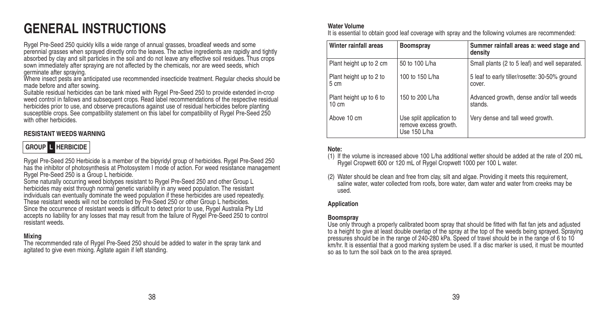# **GENERAL INSTRUCTIONS**

Rygel Pre-Seed 250 quickly kills a wide range of annual grasses, broadleaf weeds and some perennial grasses when sprayed directly onto the leaves. The active ingredients are rapidly and tightly absorbed by clay and silt particles in the soil and do not leave any effective soil residues. Thus crops sown immediately after spraying are not affected by the chemicals, nor are weed seeds, which germinate after spraying.

Where insect pests are anticipated use recommended insecticide treatment. Regular checks should be made before and after sowing.

Suitable residual herbicides can be tank mixed with Rygel Pre-Seed 250 to provide extended in-crop weed control in fallows and subsequent crops. Read label recommendations of the respective residual herbicides prior to use, and observe precautions against use of residual herbicides before planting susceptible crops. See compatibility statement on this label for compatibility of Rygel Pre-Seed 250 with other herbicides.

#### **RESISTANT WEEDS WARNING**

# **GROUP L HERBICIDE**

Rygel Pre-Seed 250 Herbicide is a member of the bipyridyl group of herbicides. Rygel Pre-Seed 250 has the inhibitor of photosynthesis at Photosystem I mode of action. For weed resistance management Rygel Pre-Seed 250 is a Group L herbicide.

Some naturally occurring weed biotypes resistant to Rygel Pre-Seed 250 and other Group L herbicides may exist through normal genetic variability in any weed population. The resistant individuals can eventually dominate the weed population if these herbicides are used repeatedly. These resistant weeds will not be controlled by Pre-Seed 250 or other Group L herbicides. Since the occurrence of resistant weeds is difficult to detect prior to use. Rygel Australia Pty Ltd accepts no liability for any losses that may result from the failure of Rygel Pre-Seed 250 to control resistant weeds.

#### **Mixing**

The recommended rate of Rygel Pre-Seed 250 should be added to water in the spray tank and agitated to give even mixing. Agitate again if left standing.

#### **Water Volume**

It is essential to obtain good leaf coverage with spray and the following volumes are recommended:

| Winter rainfall areas                      | Boomspray                                                         | Summer rainfall areas a: weed stage and<br>density      |
|--------------------------------------------|-------------------------------------------------------------------|---------------------------------------------------------|
| Plant height up to 2 cm                    | 50 to 100 L/ha                                                    | Small plants (2 to 5 leaf) and well separated.          |
| Plant height up to 2 to<br>$5 \text{ cm}$  | 100 to 150 L/ha                                                   | 5 leaf to early tiller/rosette: 30-50% ground<br>cover. |
| Plant height up to 6 to<br>$10 \text{ cm}$ | 150 to 200 L/ha                                                   | Advanced growth, dense and/or tall weeds<br>stands.     |
| Above 10 cm                                | Use split application to<br>remove excess growth.<br>Use 150 L/ha | Very dense and tall weed growth.                        |

#### **Note:**

- (1) If the volume is increased above 100 L/ha additional wetter should be added at the rate of 200 mL Rygel Cropwett 600 or 120 mL of Rygel Cropwett 1000 per 100 L water.
- (2) Water should be clean and free from clay, silt and algae. Providing it meets this requirement, saline water, water collected from roofs, bore water, dam water and water from creeks may be used.

#### **Application**

#### **Boomspray**

Use only through a properly calibrated boom spray that should be fitted with flat fan jets and adjusted to a height to give at least double overlap of the spray at the top of the weeds being sprayed. Spraying pressures should be in the range of 240-280 kPa. Speed of travel should be in the range of 6 to 10 km/hr. It is essential that a good marking system be used. If a disc marker is used, it must be mounted so as to turn the soil back on to the area sprayed.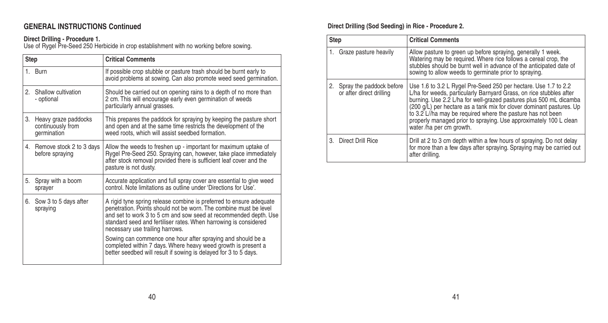**Direct Drilling - Procedure 1.** Use of Rygel Pre-Seed 250 Herbicide in crop establishment with no working before sowing.

| Step |                                                             | <b>Critical Comments</b>                                                                                                                                                                                                                                                                                            |  |
|------|-------------------------------------------------------------|---------------------------------------------------------------------------------------------------------------------------------------------------------------------------------------------------------------------------------------------------------------------------------------------------------------------|--|
|      | 1. Burn                                                     | If possible crop stubble or pasture trash should be burnt early to<br>avoid problems at sowing. Can also promote weed seed germination.                                                                                                                                                                             |  |
| 2.   | Shallow cultivation<br>- optional                           | Should be carried out on opening rains to a depth of no more than<br>2 cm. This will encourage early even germination of weeds<br>particularly annual grasses.                                                                                                                                                      |  |
|      | 3. Heavy graze paddocks<br>continuously from<br>germination | This prepares the paddock for spraying by keeping the pasture short<br>and open and at the same time restricts the development of the<br>weed roots, which will assist seedbed formation.                                                                                                                           |  |
|      | 4. Remove stock 2 to 3 days<br>before spraying              | Allow the weeds to freshen up - important for maximum uptake of<br>Rygel Pre-Seed 250. Spraying can, however, take place immediately<br>after stock removal provided there is sufficient leaf cover and the<br>pasture is not dusty.                                                                                |  |
|      | 5. Spray with a boom<br>sprayer                             | Accurate application and full spray cover are essential to give weed<br>control. Note limitations as outline under 'Directions for Use'.                                                                                                                                                                            |  |
|      | 6. Sow 3 to 5 days after<br>spraying                        | A rigid tyne spring release combine is preferred to ensure adequate<br>penetration. Points should not be worn. The combine must be level<br>and set to work 3 to 5 cm and sow seed at recommended depth. Use<br>standard seed and fertiliser rates. When harrowing is considered<br>necessary use trailing harrows. |  |
|      |                                                             | Sowing can commence one hour after spraying and should be a<br>completed within 7 days. Where heavy weed growth is present a<br>better seedbed will result if sowing is delayed for 3 to 5 days.                                                                                                                    |  |

## **Direct Drilling (Sod Seeding) in Rice - Procedure 2.**

| Step |                                                      | <b>Critical Comments</b>                                                                                                                                                                                                                                                                                                                                                                                                                            |  |
|------|------------------------------------------------------|-----------------------------------------------------------------------------------------------------------------------------------------------------------------------------------------------------------------------------------------------------------------------------------------------------------------------------------------------------------------------------------------------------------------------------------------------------|--|
|      | 1. Graze pasture heavily                             | Allow pasture to green up before spraying, generally 1 week.<br>Watering may be required. Where rice follows a cereal crop, the<br>stubbles should be burnt well in advance of the anticipated date of<br>sowing to allow weeds to germinate prior to spraying.                                                                                                                                                                                     |  |
|      | Spray the paddock before<br>or after direct drilling | Use 1.6 to 3.2 L Rygel Pre-Seed 250 per hectare. Use 1.7 to 2.2<br>L/ha for weeds, particularly Barnyard Grass, on rice stubbles after<br>burning. Use 2.2 L/ha for well-grazed pastures plus 500 mL dicamba<br>(200 q/L) per hectare as a tank mix for clover dominant pastures. Up<br>to 3.2 L/ha may be required where the pasture has not been<br>properly managed prior to spraying. Use approximately 100 L clean<br>water /ha per cm growth. |  |
|      | 3. Direct Drill Rice                                 | Drill at 2 to 3 cm depth within a few hours of spraying. Do not delay<br>for more than a few days after spraying. Spraying may be carried out<br>after drilling.                                                                                                                                                                                                                                                                                    |  |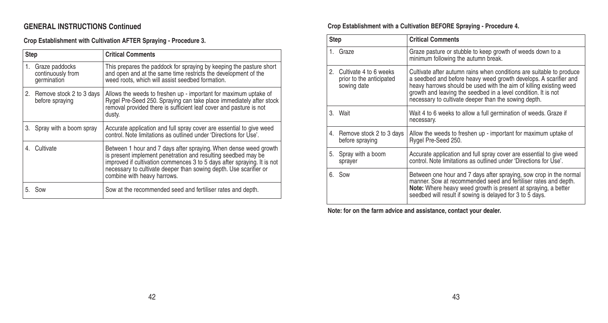# **Crop Establishment with Cultivation AFTER Spraying - Procedure 3.**

| Step |                                                    | <b>Critical Comments</b>                                                                                                                                                                                                                                                                                         |
|------|----------------------------------------------------|------------------------------------------------------------------------------------------------------------------------------------------------------------------------------------------------------------------------------------------------------------------------------------------------------------------|
| 1.   | Graze paddocks<br>continuously from<br>germination | This prepares the paddock for spraying by keeping the pasture short<br>and open and at the same time restricts the development of the<br>weed roots, which will assist seedbed formation.                                                                                                                        |
|      | 2. Remove stock 2 to 3 days<br>before spraying     | Allows the weeds to freshen up - important for maximum uptake of<br>Rygel Pre-Seed 250. Spraying can take place immediately after stock<br>removal provided there is sufficient leaf cover and pasture is not<br>dusty.                                                                                          |
|      | 3. Spray with a boom spray                         | Accurate application and full spray cover are essential to give weed<br>control. Note limitations as outlined under 'Directions for Use'.                                                                                                                                                                        |
|      | 4. Cultivate                                       | Between 1 hour and 7 days after spraying. When dense weed growth<br>is present implement penetration and resulting seedbed may be<br>improved if cultivation commences 3 to 5 days after spraying. It is not<br>necessary to cultivate deeper than sowing depth. Use scarifier or<br>combine with heavy harrows. |
|      | 5. Sow                                             | Sow at the recommended seed and fertiliser rates and depth.                                                                                                                                                                                                                                                      |

## **Crop Establishment with a Cultivation BEFORE Spraying - Procedure 4.**

| Step |                                                                      | <b>Critical Comments</b>                                                                                                                                                                                                                                                                                                                 |
|------|----------------------------------------------------------------------|------------------------------------------------------------------------------------------------------------------------------------------------------------------------------------------------------------------------------------------------------------------------------------------------------------------------------------------|
|      | 1. Graze                                                             | Graze pasture or stubble to keep growth of weeds down to a<br>minimum following the autumn break.                                                                                                                                                                                                                                        |
|      | 2. Cultivate 4 to 6 weeks<br>prior to the anticipated<br>sowing date | Cultivate after autumn rains when conditions are suitable to produce<br>a seedbed and before heavy weed growth develops. A scarifier and<br>heavy harrows should be used with the aim of killing existing weed<br>growth and leaving the seedbed in a level condition. It is not<br>necessary to cultivate deeper than the sowing depth. |
|      | 3. Wait                                                              | Wait 4 to 6 weeks to allow a full germination of weeds. Graze if<br>necessary.                                                                                                                                                                                                                                                           |
| 4.   | Remove stock 2 to 3 days<br>before spraying                          | Allow the weeds to freshen up - important for maximum uptake of<br>Rygel Pre-Seed 250.                                                                                                                                                                                                                                                   |
| 5.   | Spray with a boom<br>sprayer                                         | Accurate application and full spray cover are essential to give weed<br>control. Note limitations as outlined under 'Directions for Use'.                                                                                                                                                                                                |
| 6.   | Sow                                                                  | Between one hour and 7 days after spraying, sow crop in the normal<br>manner. Sow at recommended seed and fertiliser rates and depth.<br>Note: Where heavy weed growth is present at spraying, a better<br>seedbed will result if sowing is delayed for 3 to 5 days.                                                                     |

**Note: for on the farm advice and assistance, contact your dealer.**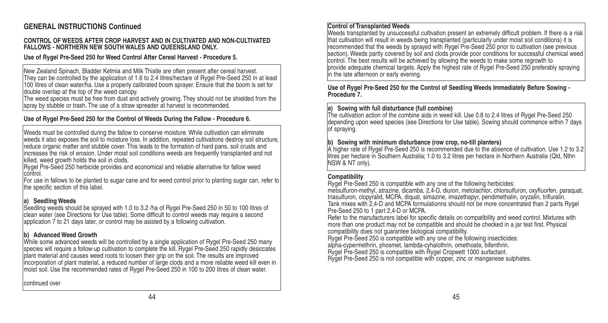#### **CONTROL OF WEEDS AFTER CROP HARVEST AND IN CULTIVATED AND NON-CULTIVATED FALLOWS - NORTHERN NEW SOUTH WALES AND QUEENSLAND ONLY.**

#### **Use of Rygel Pre-Seed 250 for Weed Control After Cereal Harvest - Procedure 5.**

New Zealand Spinach, Bladder Ketmia and Milk Thistle are often present after cereal harvest. They can be controlled by the application of 1.6 to 2.4 litres/hectare of Rygel Pre-Seed 250 in at least 100 litres of clean water/ha. Use a properly calibrated boom sprayer. Ensure that the boom is set for double overlap at the top of the weed canopy.

The weed species must be free from dust and actively growing. They should not be shielded from the spray by stubble or trash. The use of a straw spreader at harvest is recommended.

#### **Use of Rygel Pre-Seed 250 for the Control of Weeds During the Fallow - Procedure 6.**

Weeds must be controlled during the fallow to conserve moisture. While cultivation can eliminate weeds it also exposes the soil to moisture loss. In addition, repeated cultivations destroy soil structure, reduce organic matter and stubble cover. This leads to the formation of hard pans, soil crusts and increases the risk of erosion. Under moist soil conditions weeds are frequently transplanted and not killed, weed growth holds the soil in clods.

Rygel Pre-Seed 250 herbicide provides and economical and reliable alternative for fallow weed control.

For use in fallows to be planted to sugar cane and for weed control prior to planting sugar can, refer to the specific section of this label.

#### **a) Seedling Weeds**

Seedling weeds should be sprayed with 1.0 to 3.2 /ha of Rygel Pre-Seed 250 in 50 to 100 litres of clean water (see Directions for Use table). Some difficult to control weeds may require a second application 7 to 21 days later, or control may be asisted by a following cultivation.

**b) Advanced Weed Growth**<br>While some advanced weeds will be controlled by a single application of Rygel Pre-Seed 250 many species will require a follow-up cultivation to complete the kill. Rygel Pre-Seed 250 rapidly desiccates plant material and causes weed roots to loosen their grip on the soil. The results are improved incorporation of plant material, a reduced number of large clods and a more reliable weed kill even in moist soil. Use the recommended rates of Rygel Pre-Seed 250 in 100 to 200 litres of clean water.

continued over

#### **Control of Transplanted Weeds**

Weeds transplanted by unsuccessful cultivation present an extremely difficult problem. If there is a risk that cultivation will result in weeds being transplanted (particularly under moist soil conditions) it is recommended that the weeds by sprayed with Rygel Pre-Seed 250 prior to cultivation (see previous section). Weeds partly covered by soil and clods provide poor conditions for successful chemical weed control. The best results will be achieved by allowing the weeds to make some regrowth to provide adequate chemical targets. Apply the highest rate of Rygel Pre-Seed 250 preferably spraying in the late afternoon or early evening.

**Use of Rygel Pre-Seed 250 for the Control of Seedling Weeds Immediately Before Sowing - Procedure 7.**

#### **a) Sowing with full disturbance (full combine)**

The cultivation action of the combine aids in weed kill. Use 0.8 to 2.4 litres of Rygel Pre-Seed 250 depending upon weed species (see Directions for Use table). Sowing should commence within 7 days of spraying.

#### **b) Sowing with minimum disturbance (row crop, no-till planters)**

A higher rate of Rygel Pre-Seed 250 is recommended due to the absence of cultivation. Use 1.2 to 3.2 litres per hectare in Southern Australia; 1.0 to 3.2 litres per hectare in Northern Australia (Qld, Nthn NSW & NT only).

#### **Compatibility**

Rygel Pre-Seed 250 is compatible with any one of the following herbicides:

metsulfuron-methyl, atrazine, dicamba, 2,4-D, diuron, metolachlor, chlorsulfuron, oxyfluorfen, paraquat, triasulfuron, clopyralid, MCPA, diquat, simazine, imazethapyr, pendimethalin, oryzalin, trifluralin. Tank mixes with 2,4-D and MCPA formulationns should not be more concentrated than 2 parts Rygel Pre-Seed 250 to 1 part 2,4-D or MCPA.

Refer to the manufacturers label for specific details on compatibility and weed control. Mixtures with more than one product may not be compatible and should be checked in a jar test first. Physical compatibility does not guarantee biological compatibility.

Rygel Pre-Seed 250 is compatible with any one of the following insecticides:

alpha-cypermethrin, phosmet, lambda-cyhalothrin, omethoate, bifenthrin.

Rygel Pre-Seed 250 is compatible with Rygel Cropwett 1000 surfactant.

Rygel Pre-Seed 250 is not compatible with copper, zinc or manganese sulphates.